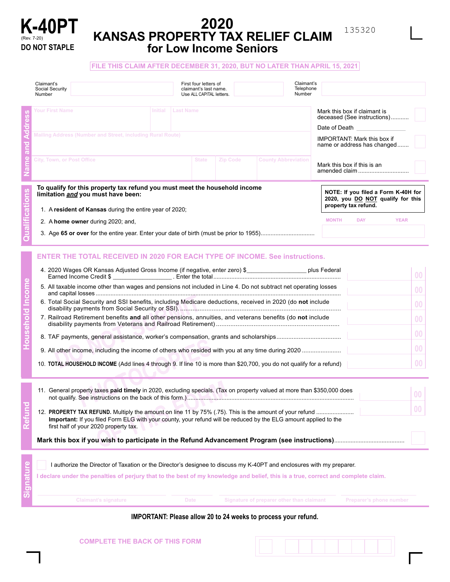

Household

# **2020 KANSAS PROPERTY TAX RELIEF CLAIM for Low Income Seniors**

### **FILE THIS CLAIM AFTER DECEMBER 31, 2020, BUT NO LATER THAN APRIL 15, 2021**

| Claimant's<br>Social Security<br>Number                                                                                                                                                                          |  |                   | First four letters of<br>claimant's last name.<br>Use ALL CAPITAL letters. |          | Claimant's<br>Telephone<br>Number                                 |                                                                                                                                               |  |
|------------------------------------------------------------------------------------------------------------------------------------------------------------------------------------------------------------------|--|-------------------|----------------------------------------------------------------------------|----------|-------------------------------------------------------------------|-----------------------------------------------------------------------------------------------------------------------------------------------|--|
| <b>Your First Name</b>                                                                                                                                                                                           |  | Initial Last Name |                                                                            |          |                                                                   | Mark this box if claimant is<br>deceased (See instructions)<br>Date of Death <b>Date</b>                                                      |  |
| Mailing Address (Number and Street, including Rural Route)                                                                                                                                                       |  |                   |                                                                            |          | <b>IMPORTANT:</b> Mark this box if<br>name or address has changed |                                                                                                                                               |  |
| City, Town, or Post Office                                                                                                                                                                                       |  |                   | <b>State</b>                                                               | Zip Code | <b>County Abbreviation</b>                                        | Mark this box if this is an<br>amended claim                                                                                                  |  |
| To qualify for this property tax refund you must meet the household income<br>limitation and you must have been:<br>1. A resident of Kansas during the entire year of 2020;<br>2. A home owner during 2020; and, |  |                   |                                                                            |          |                                                                   | NOTE: If you filed a Form K-40H for<br>2020, you DO NOT qualify for this<br>property tax refund.<br><b>YEAR</b><br><b>MONTH</b><br><b>DAY</b> |  |
| <b>ENTER THE TOTAL RECEIVED IN 2020 FOR EACH TYPE OF INCOME. See instructions.</b>                                                                                                                               |  |                   |                                                                            |          |                                                                   |                                                                                                                                               |  |
| 4. 2020 Wages OR Kansas Adjusted Gross Income (if negative, enter zero) \$____________________ plus Federal                                                                                                      |  |                   |                                                                            |          |                                                                   | 00                                                                                                                                            |  |
| 5. All taxable income other than wages and pensions not included in Line 4. Do not subtract net operating losses                                                                                                 |  |                   |                                                                            |          | 0 <sub>0</sub>                                                    |                                                                                                                                               |  |
| 6. Total Social Security and SSI benefits, including Medicare deductions, received in 2020 (do not include                                                                                                       |  |                   |                                                                            |          | 0 <sub>0</sub>                                                    |                                                                                                                                               |  |
| 7. Railroad Retirement benefits and all other pensions, annuities, and veterans benefits (do not include                                                                                                         |  |                   |                                                                            |          | 0 <sub>0</sub>                                                    |                                                                                                                                               |  |
|                                                                                                                                                                                                                  |  |                   |                                                                            |          |                                                                   | 0 <sub>0</sub>                                                                                                                                |  |
| $\sim$ . All the states that the distribution of the contract of the contract of the states of the states of $\sim$ 0000 $\sim$                                                                                  |  |                   |                                                                            |          |                                                                   |                                                                                                                                               |  |

| 0. Total Obbia, Obbanty and Obl Bonomo, moldanig modibalo doddotiono, robontod in EbEU (do <b>not</b> include         |  |
|-----------------------------------------------------------------------------------------------------------------------|--|
| 7. Railroad Retirement benefits and all other pensions, annuities, and veterans benefits (do not include              |  |
|                                                                                                                       |  |
|                                                                                                                       |  |
| 10. TOTAL HOUSEHOLD INCOME (Add lines 4 through 9. If line 10 is more than \$20,700, you do not qualify for a refund) |  |

| 11. General property taxes paid timely in 2020, excluding specials. (Tax on property valued at more than \$350,000 does                                  |  |
|----------------------------------------------------------------------------------------------------------------------------------------------------------|--|
| Important: If you filed Form ELG with your county, your refund will be reduced by the ELG amount applied to the<br>first half of your 2020 property tax. |  |
| Mark this box if you wish to participate in the Refund Advancement Program (see instructions)                                                            |  |

| l authorize the Director of Taxation or the Director's designee to discuss my K-40PT and enclosures with my preparer.<br>I declare under the penalties of perjury that to the best of my knowledge and belief, this is a true, correct and complete claim. |             |                                           |                         |  |  |  |
|------------------------------------------------------------------------------------------------------------------------------------------------------------------------------------------------------------------------------------------------------------|-------------|-------------------------------------------|-------------------------|--|--|--|
| <b>Claimant's signature</b>                                                                                                                                                                                                                                | <b>Date</b> | Signature of preparer other than claimant | Preparer's phone number |  |  |  |